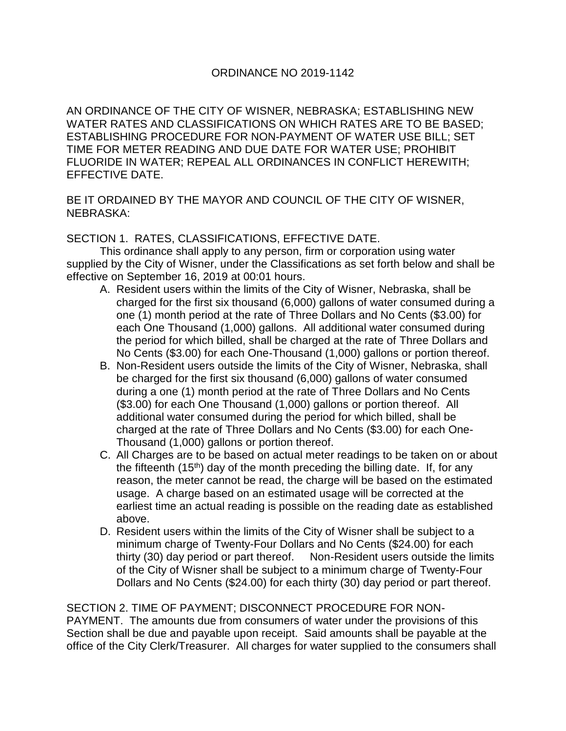AN ORDINANCE OF THE CITY OF WISNER, NEBRASKA; ESTABLISHING NEW WATER RATES AND CLASSIFICATIONS ON WHICH RATES ARE TO BE BASED; ESTABLISHING PROCEDURE FOR NON-PAYMENT OF WATER USE BILL; SET TIME FOR METER READING AND DUE DATE FOR WATER USE; PROHIBIT FLUORIDE IN WATER; REPEAL ALL ORDINANCES IN CONFLICT HEREWITH; EFFECTIVE DATE.

BE IT ORDAINED BY THE MAYOR AND COUNCIL OF THE CITY OF WISNER, NEBRASKA:

## SECTION 1. RATES, CLASSIFICATIONS, EFFECTIVE DATE.

This ordinance shall apply to any person, firm or corporation using water supplied by the City of Wisner, under the Classifications as set forth below and shall be effective on September 16, 2019 at 00:01 hours.

- A. Resident users within the limits of the City of Wisner, Nebraska, shall be charged for the first six thousand (6,000) gallons of water consumed during a one (1) month period at the rate of Three Dollars and No Cents (\$3.00) for each One Thousand (1,000) gallons. All additional water consumed during the period for which billed, shall be charged at the rate of Three Dollars and No Cents (\$3.00) for each One-Thousand (1,000) gallons or portion thereof.
- B. Non-Resident users outside the limits of the City of Wisner, Nebraska, shall be charged for the first six thousand (6,000) gallons of water consumed during a one (1) month period at the rate of Three Dollars and No Cents (\$3.00) for each One Thousand (1,000) gallons or portion thereof. All additional water consumed during the period for which billed, shall be charged at the rate of Three Dollars and No Cents (\$3.00) for each One-Thousand (1,000) gallons or portion thereof.
- C. All Charges are to be based on actual meter readings to be taken on or about the fifteenth  $(15<sup>th</sup>)$  day of the month preceding the billing date. If, for any reason, the meter cannot be read, the charge will be based on the estimated usage. A charge based on an estimated usage will be corrected at the earliest time an actual reading is possible on the reading date as established above.
- D. Resident users within the limits of the City of Wisner shall be subject to a minimum charge of Twenty-Four Dollars and No Cents (\$24.00) for each thirty (30) day period or part thereof. Non-Resident users outside the limits of the City of Wisner shall be subject to a minimum charge of Twenty-Four Dollars and No Cents (\$24.00) for each thirty (30) day period or part thereof.

SECTION 2. TIME OF PAYMENT; DISCONNECT PROCEDURE FOR NON-PAYMENT. The amounts due from consumers of water under the provisions of this Section shall be due and payable upon receipt. Said amounts shall be payable at the office of the City Clerk/Treasurer. All charges for water supplied to the consumers shall